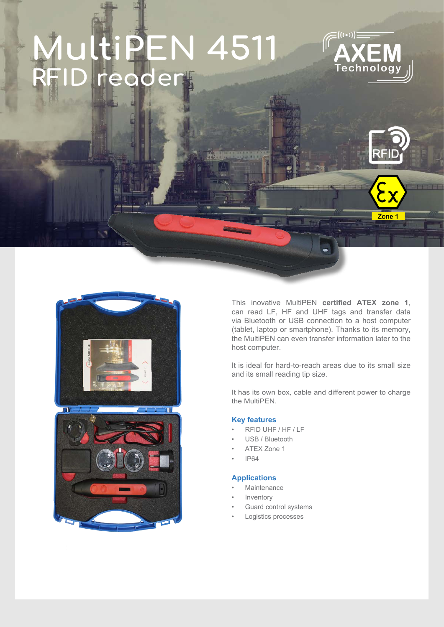# **N 4511 RFID reader**



Zone<sub>1</sub>





This inovative MultiPEN **certified ATEX zone 1**, can read LF, HF and UHF tags and transfer data via Bluetooth or USB connection to a host computer (tablet, laptop or smartphone). Thanks to its memory, the MultiPEN can even transfer information later to the host computer.

It is ideal for hard-to-reach areas due to its small size and its small reading tip size.

It has its own box, cable and different power to charge the MultiPEN.

#### **Key features**

- RFID UHF / HF / LF
- USB / Bluetooth
- ATEX Zone 1
- IP64

#### **Applications**

- **Maintenance**
- **Inventory**
- Guard control systems
- Logistics processes